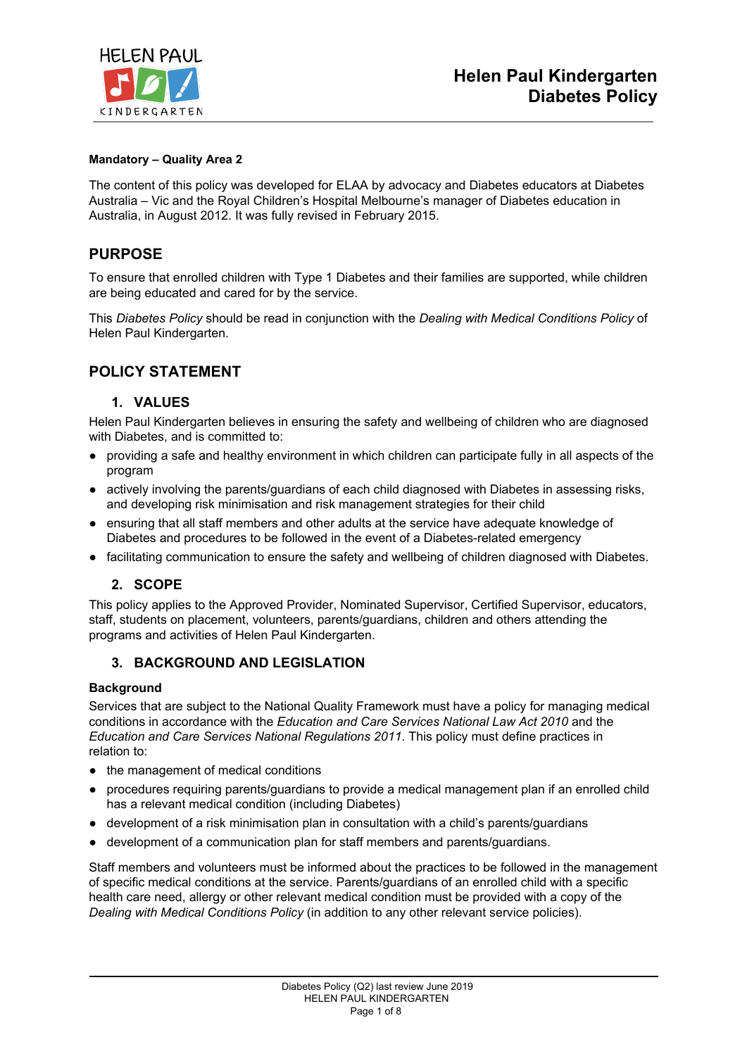

### **Mandatory – Quality Area 2**

The content of this policy was developed for ELAA by advocacy and Diabetes educators at Diabetes Australia – Vic and the Royal Children's Hospital Melbourne's manager of Diabetes education in Australia, in August 2012. It was fully revised in February 2015.

## **PURPOSE**

To ensure that enrolled children with Type 1 Diabetes and their families are supported, while children are being educated and cared for by the service.

This *Diabetes Policy* should be read in conjunction with the *Dealing with Medical Conditions Policy* of Helen Paul Kindergarten.

## **POLICY STATEMENT**

### **1. VALUES**

Helen Paul Kindergarten believes in ensuring the safety and wellbeing of children who are diagnosed with Diabetes, and is committed to:

- providing a safe and healthy environment in which children can participate fully in all aspects of the program
- actively involving the parents/guardians of each child diagnosed with Diabetes in assessing risks, and developing risk minimisation and risk management strategies for their child
- ensuring that all staff members and other adults at the service have adequate knowledge of Diabetes and procedures to be followed in the event of a Diabetes-related emergency
- facilitating communication to ensure the safety and wellbeing of children diagnosed with Diabetes.

### **2. SCOPE**

This policy applies to the Approved Provider, Nominated Supervisor, Certified Supervisor, educators, staff, students on placement, volunteers, parents/guardians, children and others attending the programs and activities of Helen Paul Kindergarten.

### **3. BACKGROUND AND LEGISLATION**

### **Background**

Services that are subject to the National Quality Framework must have a policy for managing medical conditions in accordance with the *Education and Care Services National Law Act 2010* and the *Education and Care Services National Regulations 2011*. This policy must define practices in relation to:

- the management of medical conditions
- procedures requiring parents/guardians to provide a medical management plan if an enrolled child has a relevant medical condition (including Diabetes)
- development of a risk minimisation plan in consultation with a child's parents/guardians
- development of a communication plan for staff members and parents/guardians.

Staff members and volunteers must be informed about the practices to be followed in the management of specific medical conditions at the service. Parents/guardians of an enrolled child with a specific health care need, allergy or other relevant medical condition must be provided with a copy of the *Dealing with Medical Conditions Policy* (in addition to any other relevant service policies).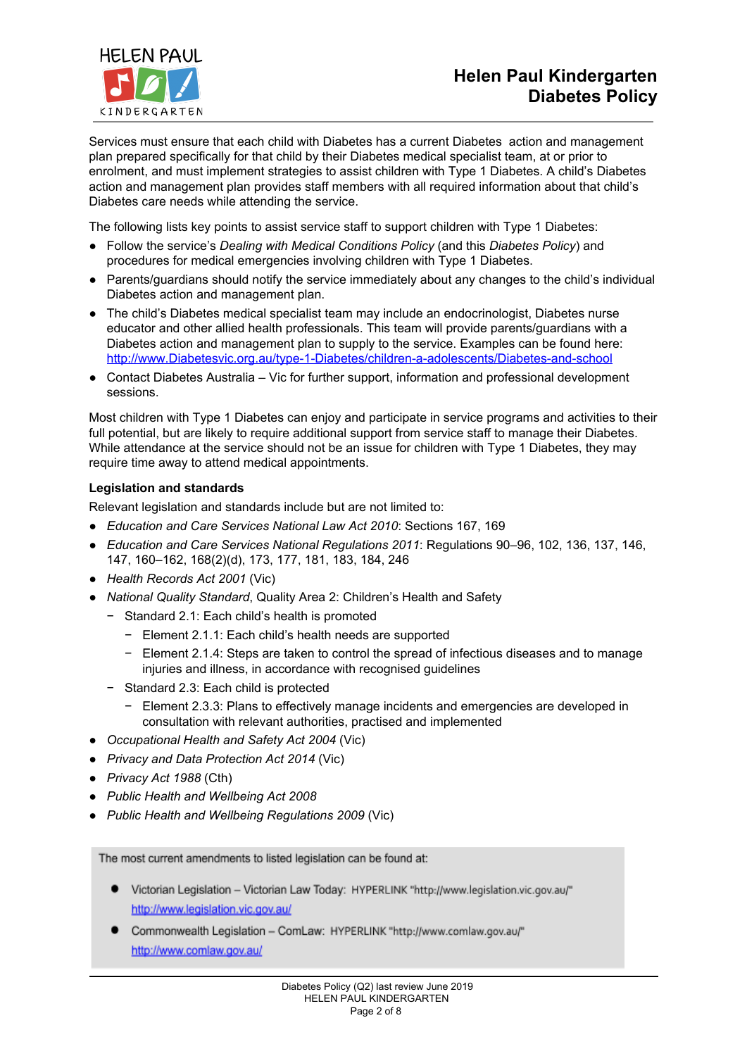

Services must ensure that each child with Diabetes has a current Diabetes action and management plan prepared specifically for that child by their Diabetes medical specialist team, at or prior to enrolment, and must implement strategies to assist children with Type 1 Diabetes. A child's Diabetes action and management plan provides staff members with all required information about that child's Diabetes care needs while attending the service.

The following lists key points to assist service staff to support children with Type 1 Diabetes:

- Follow the service's *Dealing with Medical Conditions Policy* (and this *Diabetes Policy*) and procedures for medical emergencies involving children with Type 1 Diabetes.
- Parents/guardians should notify the service immediately about any changes to the child's individual Diabetes action and management plan.
- The child's Diabetes medical specialist team may include an endocrinologist, Diabetes nurse educator and other allied health professionals. This team will provide parents/guardians with a Diabetes action and management plan to supply to the service. Examples can be found here: [http://www.Diabetesvic.org.au/type-1-Diabetes/children-a-adolescents/Diabetes-and-school](http://www.diabetesvic.org.au/type-1-diabetes/children-a-adolescents/diabetes-and-school)
- Contact Diabetes Australia Vic for further support, information and professional development sessions.

Most children with Type 1 Diabetes can enjoy and participate in service programs and activities to their full potential, but are likely to require additional support from service staff to manage their Diabetes. While attendance at the service should not be an issue for children with Type 1 Diabetes, they may require time away to attend medical appointments.

### **Legislation and standards**

Relevant legislation and standards include but are not limited to:

- *Education and Care Services National Law Act 2010*: Sections 167, 169
- *Education and Care Services National Regulations 2011*: Regulations 90–96, 102, 136, 137, 146, 147, 160–162, 168(2)(d), 173, 177, 181, 183, 184, 246
- *Health Records Act 2001* (Vic)
- *National Quality Standard*, Quality Area 2: Children's Health and Safety
	- − Standard 2.1: Each child's health is promoted
		- − Element 2.1.1: Each child's health needs are supported
		- − Element 2.1.4: Steps are taken to control the spread of infectious diseases and to manage injuries and illness, in accordance with recognised guidelines
	- − Standard 2.3: Each child is protected
		- − Element 2.3.3: Plans to effectively manage incidents and emergencies are developed in consultation with relevant authorities, practised and implemented
- *Occupational Health and Safety Act 2004* (Vic)
- *Privacy and Data Protection Act 2014* (Vic)
- *Privacy Act 1988* (Cth)
- *Public Health and Wellbeing Act 2008*
- *Public Health and Wellbeing Regulations 2009* (Vic)

The most current amendments to listed legislation can be found at:

- Victorian Legislation Victorian Law Today: HYPERLINK "http://www.legislation.vic.gov.au/" http://www.legislation.vic.gov.au/
- Commonwealth Legislation ComLaw: HYPERLINK "http://www.comlaw.gov.au/" http://www.comlaw.gov.au/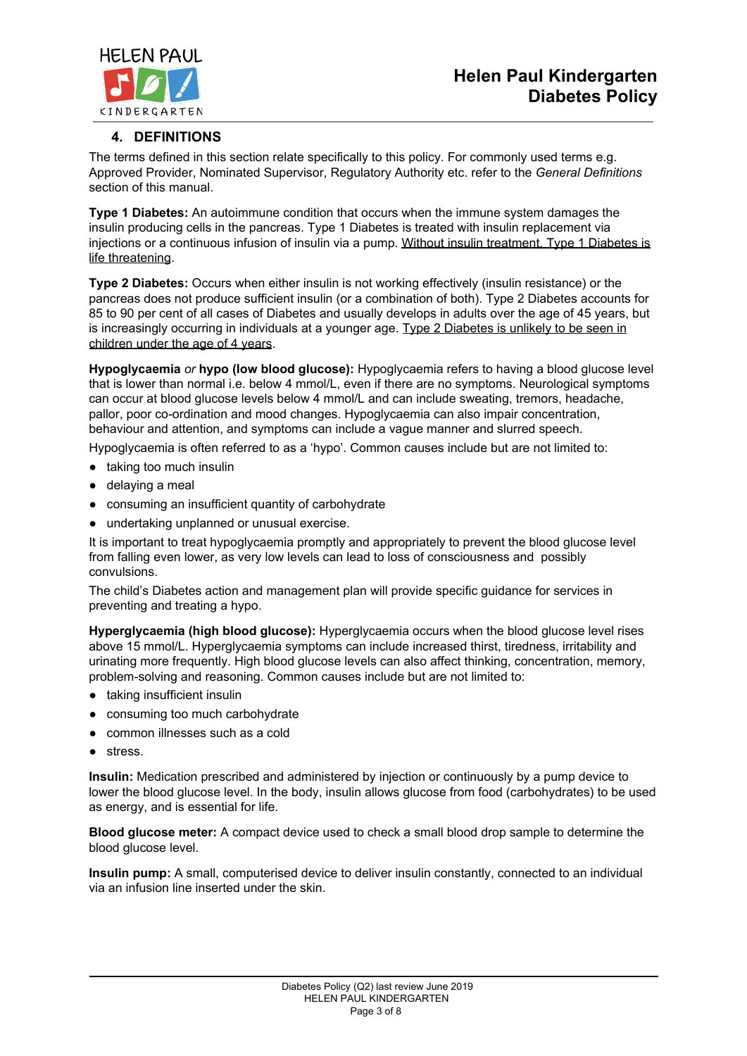# **Helen Paul Kindergarten Diabetes Policy**



## **4. DEFINITIONS**

The terms defined in this section relate specifically to this policy. For commonly used terms e.g. Approved Provider, Nominated Supervisor, Regulatory Authority etc. refer to the *General Definitions* section of this manual.

**Type 1 Diabetes:** An autoimmune condition that occurs when the immune system damages the insulin producing cells in the pancreas. Type 1 Diabetes is treated with insulin replacement via injections or a continuous infusion of insulin via a pump. Without insulin treatment, Type 1 Diabetes is life threatening.

**Type 2 Diabetes:** Occurs when either insulin is not working effectively (insulin resistance) or the pancreas does not produce sufficient insulin (or a combination of both). Type 2 Diabetes accounts for 85 to 90 per cent of all cases of Diabetes and usually develops in adults over the age of 45 years, but is increasingly occurring in individuals at a younger age. Type 2 Diabetes is unlikely to be seen in children under the age of 4 years.

**Hypoglycaemia** *or* **hypo (low blood glucose):** Hypoglycaemia refers to having a blood glucose level that is lower than normal i.e. below 4 mmol/L, even if there are no symptoms. Neurological symptoms can occur at blood glucose levels below 4 mmol/L and can include sweating, tremors, headache, pallor, poor co-ordination and mood changes. Hypoglycaemia can also impair concentration, behaviour and attention, and symptoms can include a vague manner and slurred speech.

Hypoglycaemia is often referred to as a 'hypo'. Common causes include but are not limited to:

- taking too much insulin
- delaying a meal
- consuming an insufficient quantity of carbohydrate
- undertaking unplanned or unusual exercise.

It is important to treat hypoglycaemia promptly and appropriately to prevent the blood glucose level from falling even lower, as very low levels can lead to loss of consciousness and possibly convulsions.

The child's Diabetes action and management plan will provide specific guidance for services in preventing and treating a hypo.

**Hyperglycaemia (high blood glucose):** Hyperglycaemia occurs when the blood glucose level rises above 15 mmol/L. Hyperglycaemia symptoms can include increased thirst, tiredness, irritability and urinating more frequently. High blood glucose levels can also affect thinking, concentration, memory, problem-solving and reasoning. Common causes include but are not limited to:

- taking insufficient insulin
- consuming too much carbohydrate
- common illnesses such as a cold
- stress.

**Insulin:** Medication prescribed and administered by injection or continuously by a pump device to lower the blood glucose level. In the body, insulin allows glucose from food (carbohydrates) to be used as energy, and is essential for life.

**Blood glucose meter:** A compact device used to check a small blood drop sample to determine the blood glucose level.

**Insulin pump:** A small, computerised device to deliver insulin constantly, connected to an individual via an infusion line inserted under the skin.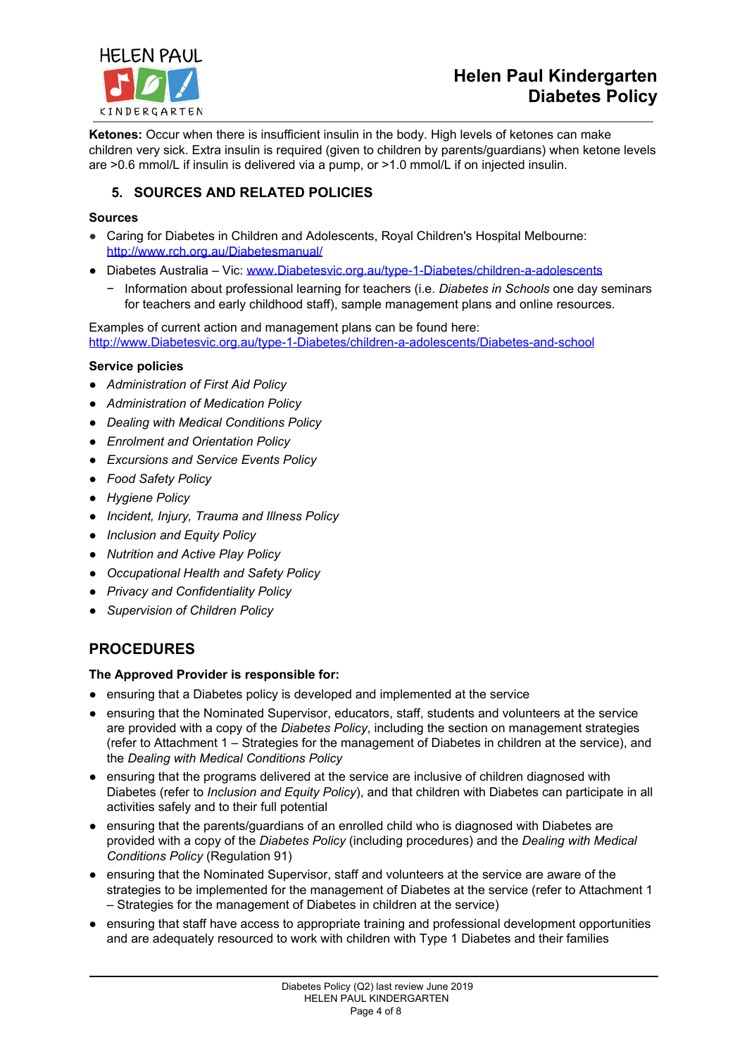

# **Helen Paul Kindergarten Diabetes Policy**

**Ketones:** Occur when there is insufficient insulin in the body. High levels of ketones can make children very sick. Extra insulin is required (given to children by parents/guardians) when ketone levels are >0.6 mmol/L if insulin is delivered via a pump, or >1.0 mmol/L if on injected insulin.

## **5. SOURCES AND RELATED POLICIES**

### **Sources**

- Caring for Diabetes in Children and [Adolescents,](http://www.rch.org.au/diabetesmanual/index.cfm?doc_id=2352) Royal Children's Hospital Melbourne: [http://www.rch.org.au/Diabetesmanual/](http://www.rch.org.au/diabetesmanual/)
- Diabetes Australia Vic: [www.Diabetesvic.org.au/type-1-Diabetes/children-a-adolescents](http://www.diabetesvic.org.au/type-1-diabetes/children-a-adolescents)
	- − Information about professional learning for teachers (i.e. *Diabetes in Schools* one day seminars for teachers and early childhood staff), sample management plans and online resources.

Examples of current action and management plans can be found here: [http://www.Diabetesvic.org.au/type-1-Diabetes/children-a-adolescents/Diabetes-and-school](http://www.diabetesvic.org.au/type-1-diabetes/children-a-adolescents/diabetes-and-school)

### **Service policies**

- *Administration of First Aid Policy*
- *Administration of Medication Policy*
- *Dealing with Medical Conditions Policy*
- *Enrolment and Orientation Policy*
- *Excursions and Service Events Policy*
- *Food Safety Policy*
- *Hygiene Policy*
- *Incident, Injury, Trauma and Illness Policy*
- *Inclusion and Equity Policy*
- *Nutrition and Active Play Policy*
- *Occupational Health and Safety Policy*
- *Privacy and Confidentiality Policy*
- *Supervision of Children Policy*

# **PROCEDURES**

### **The Approved Provider is responsible for:**

- ensuring that a Diabetes policy is developed and implemented at the service
- ensuring that the Nominated Supervisor, educators, staff, students and volunteers at the service are provided with a copy of the *Diabetes Policy*, including the section on management strategies (refer to Attachment 1 – Strategies for the management of Diabetes in children at the service), and the *Dealing with Medical Conditions Policy*
- ensuring that the programs delivered at the service are inclusive of children diagnosed with Diabetes (refer to *Inclusion and Equity Policy*), and that children with Diabetes can participate in all activities safely and to their full potential
- ensuring that the parents/guardians of an enrolled child who is diagnosed with Diabetes are provided with a copy of the *Diabetes Policy* (including procedures) and the *Dealing with Medical Conditions Policy* (Regulation 91)
- ensuring that the Nominated Supervisor, staff and volunteers at the service are aware of the strategies to be implemented for the management of Diabetes at the service (refer to Attachment 1 – Strategies for the management of Diabetes in children at the service)
- ensuring that staff have access to appropriate training and professional development opportunities and are adequately resourced to work with children with Type 1 Diabetes and their families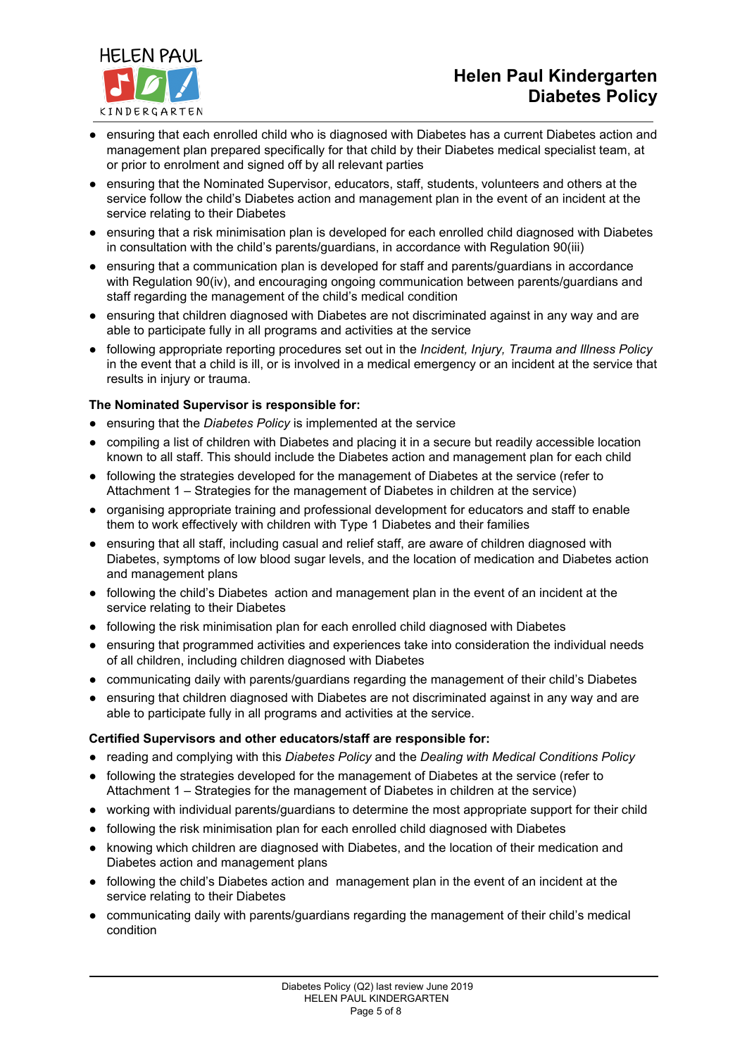



- ensuring that the Nominated Supervisor, educators, staff, students, volunteers and others at the service follow the child's Diabetes action and management plan in the event of an incident at the service relating to their Diabetes
- ensuring that a risk minimisation plan is developed for each enrolled child diagnosed with Diabetes in consultation with the child's parents/guardians, in accordance with Regulation 90(iii)
- ensuring that a communication plan is developed for staff and parents/guardians in accordance with Regulation 90(iv), and encouraging ongoing communication between parents/guardians and staff regarding the management of the child's medical condition
- ensuring that children diagnosed with Diabetes are not discriminated against in any way and are able to participate fully in all programs and activities at the service
- following appropriate reporting procedures set out in the *Incident, Injury, Trauma and Illness Policy* in the event that a child is ill, or is involved in a medical emergency or an incident at the service that results in injury or trauma.

### **The Nominated Supervisor is responsible for:**

**HELEN PAUL** 

KINDERGARTEN

- ensuring that the *Diabetes Policy* is implemented at the service
- compiling a list of children with Diabetes and placing it in a secure but readily accessible location known to all staff. This should include the Diabetes action and management plan for each child
- following the strategies developed for the management of Diabetes at the service (refer to Attachment 1 – Strategies for the management of Diabetes in children at the service)
- organising appropriate training and professional development for educators and staff to enable them to work effectively with children with Type 1 Diabetes and their families
- ensuring that all staff, including casual and relief staff, are aware of children diagnosed with Diabetes, symptoms of low blood sugar levels, and the location of medication and Diabetes action and management plans
- following the child's Diabetes action and management plan in the event of an incident at the service relating to their Diabetes
- following the risk minimisation plan for each enrolled child diagnosed with Diabetes
- ensuring that programmed activities and experiences take into consideration the individual needs of all children, including children diagnosed with Diabetes
- communicating daily with parents/guardians regarding the management of their child's Diabetes
- ensuring that children diagnosed with Diabetes are not discriminated against in any way and are able to participate fully in all programs and activities at the service.

### **Certified Supervisors and other educators/staff are responsible for:**

- reading and complying with this *Diabetes Policy* and the *Dealing with Medical Conditions Policy*
- following the strategies developed for the management of Diabetes at the service (refer to Attachment 1 – Strategies for the management of Diabetes in children at the service)
- working with individual parents/guardians to determine the most appropriate support for their child
- following the risk minimisation plan for each enrolled child diagnosed with Diabetes
- knowing which children are diagnosed with Diabetes, and the location of their medication and Diabetes action and management plans
- following the child's Diabetes action and management plan in the event of an incident at the service relating to their Diabetes
- communicating daily with parents/guardians regarding the management of their child's medical condition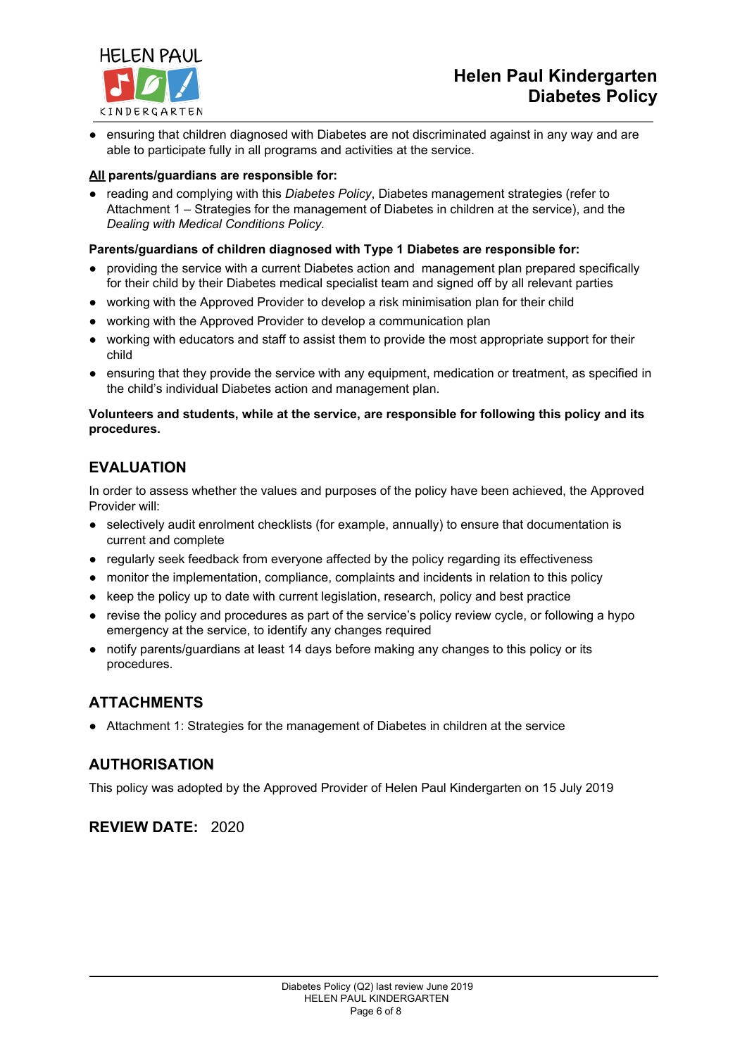

ensuring that children diagnosed with Diabetes are not discriminated against in any way and are able to participate fully in all programs and activities at the service.

### **All parents/guardians are responsible for:**

reading and complying with this *Diabetes Policy*, Diabetes management strategies (refer to Attachment 1 – Strategies for the management of Diabetes in children at the service), and the *Dealing with Medical Conditions Policy.*

### **Parents/guardians of children diagnosed with Type 1 Diabetes are responsible for:**

- providing the service with a current Diabetes action and management plan prepared specifically for their child by their Diabetes medical specialist team and signed off by all relevant parties
- working with the Approved Provider to develop a risk minimisation plan for their child
- working with the Approved Provider to develop a communication plan
- working with educators and staff to assist them to provide the most appropriate support for their child
- ensuring that they provide the service with any equipment, medication or treatment, as specified in the child's individual Diabetes action and management plan.

### **Volunteers and students, while at the service, are responsible for following this policy and its procedures.**

# **EVALUATION**

In order to assess whether the values and purposes of the policy have been achieved, the Approved Provider will:

- selectively audit enrolment checklists (for example, annually) to ensure that documentation is current and complete
- regularly seek feedback from everyone affected by the policy regarding its effectiveness
- monitor the implementation, compliance, complaints and incidents in relation to this policy
- keep the policy up to date with current legislation, research, policy and best practice
- revise the policy and procedures as part of the service's policy review cycle, or following a hypo emergency at the service, to identify any changes required
- notify parents/guardians at least 14 days before making any changes to this policy or its procedures.

# **ATTACHMENTS**

● Attachment 1: Strategies for the management of Diabetes in children at the service

# **AUTHORISATION**

This policy was adopted by the Approved Provider of Helen Paul Kindergarten on 15 July 2019

**REVIEW DATE:** 2020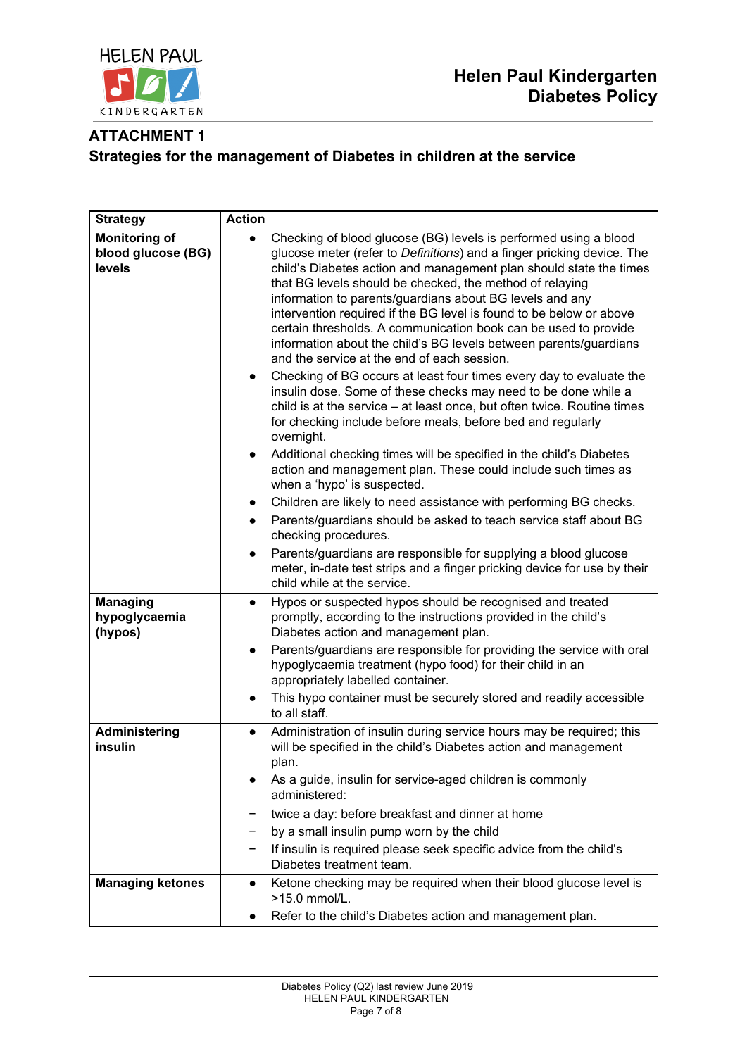

# **ATTACHMENT 1 Strategies for the management of Diabetes in children at the service**

| <b>Strategy</b>                                      | <b>Action</b>                                                                                                                                                                                                                                                                                                                                                                                                                                                                                                                                                                                                                                                                                                                                                                                                                                                                                                                                                                                                                                                                                                                                                                                                                                                                                                                                                                                                                                                                                   |
|------------------------------------------------------|-------------------------------------------------------------------------------------------------------------------------------------------------------------------------------------------------------------------------------------------------------------------------------------------------------------------------------------------------------------------------------------------------------------------------------------------------------------------------------------------------------------------------------------------------------------------------------------------------------------------------------------------------------------------------------------------------------------------------------------------------------------------------------------------------------------------------------------------------------------------------------------------------------------------------------------------------------------------------------------------------------------------------------------------------------------------------------------------------------------------------------------------------------------------------------------------------------------------------------------------------------------------------------------------------------------------------------------------------------------------------------------------------------------------------------------------------------------------------------------------------|
| <b>Monitoring of</b><br>blood glucose (BG)<br>levels | Checking of blood glucose (BG) levels is performed using a blood<br>$\bullet$<br>glucose meter (refer to Definitions) and a finger pricking device. The<br>child's Diabetes action and management plan should state the times<br>that BG levels should be checked, the method of relaying<br>information to parents/guardians about BG levels and any<br>intervention required if the BG level is found to be below or above<br>certain thresholds. A communication book can be used to provide<br>information about the child's BG levels between parents/guardians<br>and the service at the end of each session.<br>Checking of BG occurs at least four times every day to evaluate the<br>$\bullet$<br>insulin dose. Some of these checks may need to be done while a<br>child is at the service – at least once, but often twice. Routine times<br>for checking include before meals, before bed and regularly<br>overnight.<br>Additional checking times will be specified in the child's Diabetes<br>$\bullet$<br>action and management plan. These could include such times as<br>when a 'hypo' is suspected.<br>Children are likely to need assistance with performing BG checks.<br>$\bullet$<br>Parents/guardians should be asked to teach service staff about BG<br>$\bullet$<br>checking procedures.<br>Parents/guardians are responsible for supplying a blood glucose<br>meter, in-date test strips and a finger pricking device for use by their<br>child while at the service. |
| <b>Managing</b><br>hypoglycaemia<br>(hypos)          | Hypos or suspected hypos should be recognised and treated<br>$\bullet$<br>promptly, according to the instructions provided in the child's<br>Diabetes action and management plan.<br>Parents/guardians are responsible for providing the service with oral<br>$\bullet$<br>hypoglycaemia treatment (hypo food) for their child in an<br>appropriately labelled container.<br>This hypo container must be securely stored and readily accessible<br>to all staff.                                                                                                                                                                                                                                                                                                                                                                                                                                                                                                                                                                                                                                                                                                                                                                                                                                                                                                                                                                                                                                |
| Administering<br>insulin                             | Administration of insulin during service hours may be required; this<br>$\bullet$<br>will be specified in the child's Diabetes action and management<br>plan.<br>As a guide, insulin for service-aged children is commonly<br>administered:<br>twice a day: before breakfast and dinner at home<br>by a small insulin pump worn by the child<br>If insulin is required please seek specific advice from the child's<br>Diabetes treatment team.                                                                                                                                                                                                                                                                                                                                                                                                                                                                                                                                                                                                                                                                                                                                                                                                                                                                                                                                                                                                                                                 |
| <b>Managing ketones</b>                              | Ketone checking may be required when their blood glucose level is<br>$\bullet$<br>>15.0 mmol/L.<br>Refer to the child's Diabetes action and management plan.                                                                                                                                                                                                                                                                                                                                                                                                                                                                                                                                                                                                                                                                                                                                                                                                                                                                                                                                                                                                                                                                                                                                                                                                                                                                                                                                    |